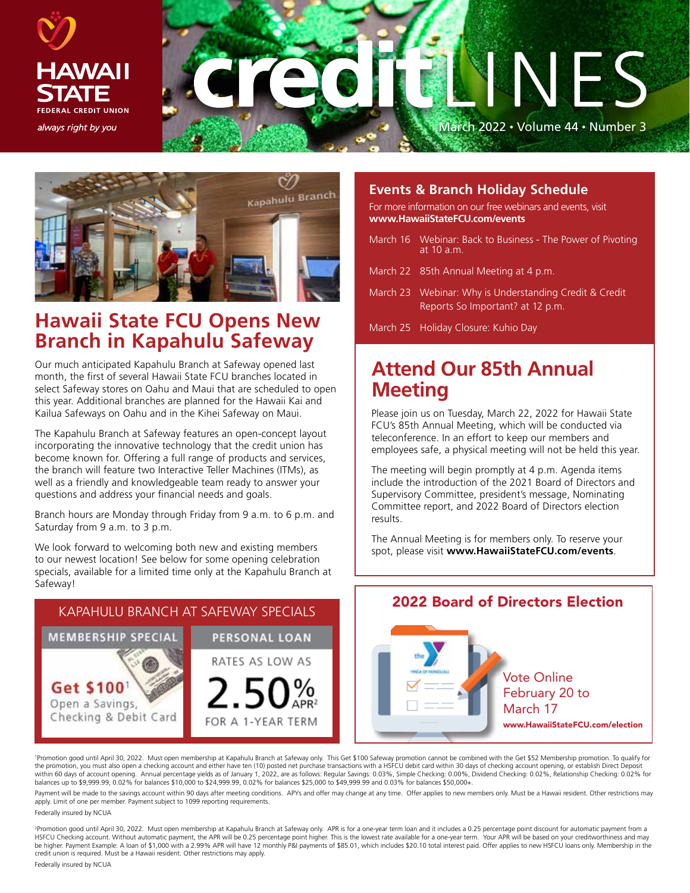

# INES March 2022 • Volume 44 • Number 3



## **Hawaii State FCU Opens New Branch in Kapahulu Safeway**

Our much anticipated Kapahulu Branch at Safeway opened last month, the first of several Hawaii State FCU branches located in select Safeway stores on Oahu and Maui that are scheduled to open this year. Additional branches are planned for the Hawaii Kai and Kailua Safeways on Oahu and in the Kihei Safeway on Maui.

The Kapahulu Branch at Safeway features an open-concept layout incorporating the innovative technology that the credit union has become known for. Offering a full range of products and services, the branch will feature two Interactive Teller Machines (ITMs), as well as a friendly and knowledgeable team ready to answer your questions and address your financial needs and goals.

Branch hours are Monday through Friday from 9 a.m. to 6 p.m. and Saturday from 9 a.m. to 3 p.m.

We look forward to welcoming both new and existing members to our newest location! See below for some opening celebration specials, available for a limited time only at the Kapahulu Branch at Safeway!



#### **Events & Branch Holiday Schedule**

For more information on our free webinars and events, visit **www.HawaiiStateFCU.com/events**

- March 16 Webinar: Back to Business The Power of Pivoting at 10 a.m.
- March 22 85th Annual Meeting at 4 p.m.
- March 23 Webinar: Why is Understanding Credit & Credit Reports So Important? at 12 p.m.
- March 25 Holiday Closure: Kuhio Day

## **Attend Our 85th Annual Meeting**

Please join us on Tuesday, March 22, 2022 for Hawaii State FCU's 85th Annual Meeting, which will be conducted via teleconference. In an effort to keep our members and employees safe, a physical meeting will not be held this year.

The meeting will begin promptly at 4 p.m. Agenda items include the introduction of the 2021 Board of Directors and Supervisory Committee, president's message, Nominating Committee report, and 2022 Board of Directors election results.

The Annual Meeting is for members only. To reserve your spot, please visit **www.HawaiiStateFCU.com/events**.



1 Promotion good until April 30, 2022. Must open membership at Kapahulu Branch at Safeway only. This Get \$100 Safeway promotion cannot be combined with the Get \$52 Membership promotion. To qualify for the promotion, you must also open a checking account and either have ten (10) posted net purchase transactions with a HSFCU debit card within 30 days of checking account opening, or establish Direct Deposit within 60 days of account opening. Annual percentage yields as of January 1, 2022, are as follows: Regular Savings: 0.03%, Simple Checking: 0.00%, Dividend Checking: 0.02%, Relationship Checking: 0.02% for balances up to \$9,999.99, 0.02% for balances \$10,000 to \$24,999.99, 0.02% for balances \$25,000 to \$49,999.99 and 0.03% for balances \$50,000+.

Payment will be made to the savings account within 90 days after meeting conditions. APYs and offer may change at any time. Offer applies to new members only. Must be a Hawaii resident. Other restrictions may apply. Limit of one per member. Payment subject to 1099 reporting requirements.

Federally insured by NCUA

<sup>2</sup>Promotion good until April 30, 2022. Must open membership at Kapahulu Branch at Safeway only. APR is for a one-year term loan and it includes a 0.25 percentage point discount for automatic payment from a HSFCU Checking account. Without automatic payment, the APR will be 0.25 percentage point higher. This is the lowest rate available for a one-year term. Your APR will be based on your creditworthiness and may be higher. Payment Example: A loan of \$1,000 with a 2.99% APR will have 12 monthly P&I payments of \$85.01, which includes \$20.10 total interest paid. Offer applies to new HSFCU loans only. Membership in the credit union is required. Must be a Hawaii resident. Other restrictions may apply.